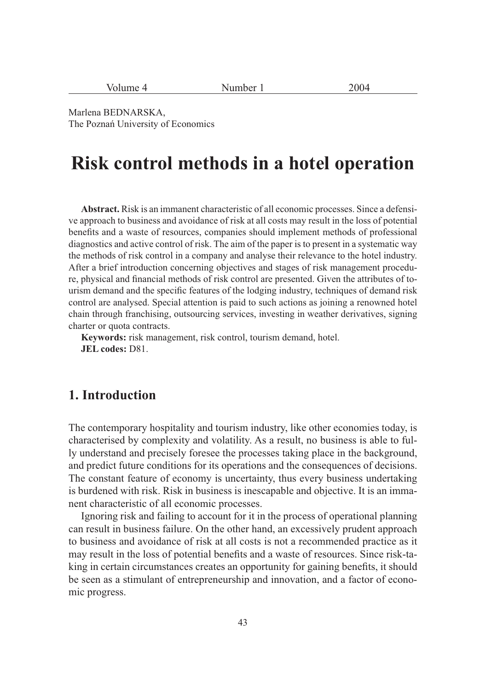| Volume 4 |  |
|----------|--|
|          |  |

Number 1 2004

Marlena BEDNARSKA, The Poznań University of Economics

# **Risk control methods in a hotel operation**

**Abstract.** Risk is an immanent characteristic of all economic processes. Since a defensive approach to business and avoidance of risk at all costs may result in the loss of potential benefits and a waste of resources, companies should implement methods of professional diagnostics and active control of risk. The aim of the paper is to present in a systematic way the methods of risk control in a company and analyse their relevance to the hotel industry. After a brief introduction concerning objectives and stages of risk management procedure, physical and financial methods of risk control are presented. Given the attributes of tourism demand and the specific features of the lodging industry, techniques of demand risk control are analysed. Special attention is paid to such actions as joining a renowned hotel chain through franchising, outsourcing services, investing in weather derivatives, signing charter or quota contracts.

**Keywords:** risk management, risk control, tourism demand, hotel. **JEL codes:** D81.

# **1. Introduction**

The contemporary hospitality and tourism industry, like other economies today, is characterised by complexity and volatility. As a result, no business is able to fully understand and precisely foresee the processes taking place in the background, and predict future conditions for its operations and the consequences of decisions. The constant feature of economy is uncertainty, thus every business undertaking is burdened with risk. Risk in business is inescapable and objective. It is an immanent characteristic of all economic processes.

Ignoring risk and failing to account for it in the process of operational planning can result in business failure. On the other hand, an excessively prudent approach to business and avoidance of risk at all costs is not a recommended practice as it may result in the loss of potential benefits and a waste of resources. Since risk-taking in certain circumstances creates an opportunity for gaining benefits, it should be seen as a stimulant of entrepreneurship and innovation, and a factor of economic progress.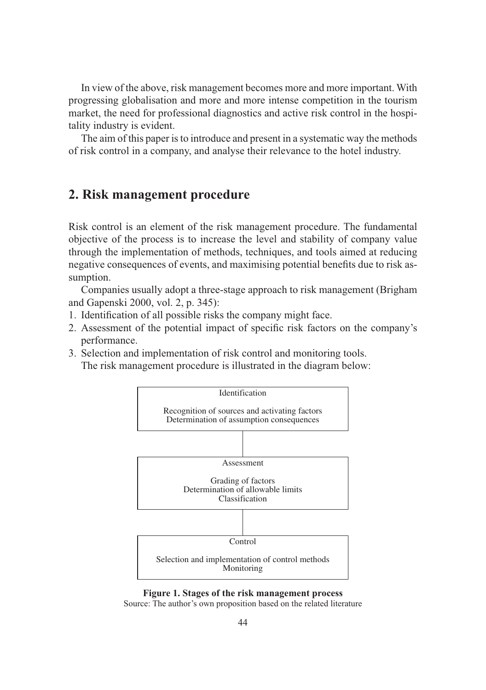In view of the above, risk management becomes more and more important. With progressing globalisation and more and more intense competition in the tourism market, the need for professional diagnostics and active risk control in the hospitality industry is evident.

The aim of this paper is to introduce and present in a systematic way the methods of risk control in a company, and analyse their relevance to the hotel industry.

### **2. Risk management procedure**

Risk control is an element of the risk management procedure. The fundamental objective of the process is to increase the level and stability of company value through the implementation of methods, techniques, and tools aimed at reducing negative consequences of events, and maximising potential benefits due to risk assumption.

Companies usually adopt a three-stage approach to risk management (Brigham and Gapenski 2000, vol. 2, p. 345):

- 1. Identification of all possible risks the company might face.
- 2. Assessment of the potential impact of specific risk factors on the company's performance.
- 3. Selection and implementation of risk control and monitoring tools. The risk management procedure is illustrated in the diagram below:



**Figure 1. Stages of the risk management process**

Source: The author's own proposition based on the related literature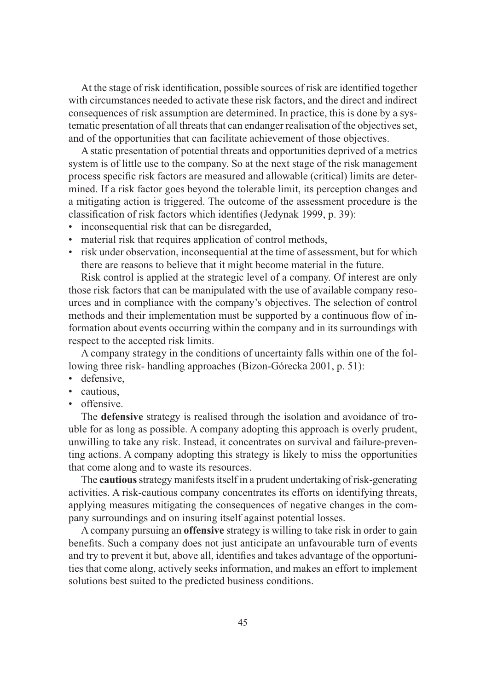At the stage of risk identification, possible sources of risk are identified together with circumstances needed to activate these risk factors, and the direct and indirect consequences of risk assumption are determined. In practice, this is done by a systematic presentation of all threats that can endanger realisation of the objectives set, and of the opportunities that can facilitate achievement of those objectives.

A static presentation of potential threats and opportunities deprived of a metrics system is of little use to the company. So at the next stage of the risk management process specific risk factors are measured and allowable (critical) limits are determined. If a risk factor goes beyond the tolerable limit, its perception changes and a mitigating action is triggered. The outcome of the assessment procedure is the classification of risk factors which identifies (Jedynak 1999, p. 39):

- inconsequential risk that can be disregarded,
- material risk that requires application of control methods,
- risk under observation, inconsequential at the time of assessment, but for which there are reasons to believe that it might become material in the future.

Risk control is applied at the strategic level of a company. Of interest are only those risk factors that can be manipulated with the use of available company resources and in compliance with the company's objectives. The selection of control methods and their implementation must be supported by a continuous flow of information about events occurring within the company and in its surroundings with respect to the accepted risk limits.

A company strategy in the conditions of uncertainty falls within one of the following three risk- handling approaches (Bizon-Górecka 2001, p. 51):

- defensive,
- cautious
- offensive.

The **defensive** strategy is realised through the isolation and avoidance of trouble for as long as possible. A company adopting this approach is overly prudent, unwilling to take any risk. Instead, it concentrates on survival and failure-preventing actions. A company adopting this strategy is likely to miss the opportunities that come along and to waste its resources.

The **cautious** strategy manifests itself in a prudent undertaking of risk-generating activities. A risk-cautious company concentrates its efforts on identifying threats, applying measures mitigating the consequences of negative changes in the company surroundings and on insuring itself against potential losses.

A company pursuing an **offensive** strategy is willing to take risk in order to gain benefits. Such a company does not just anticipate an unfavourable turn of events and try to prevent it but, above all, identifies and takes advantage of the opportunities that come along, actively seeks information, and makes an effort to implement solutions best suited to the predicted business conditions.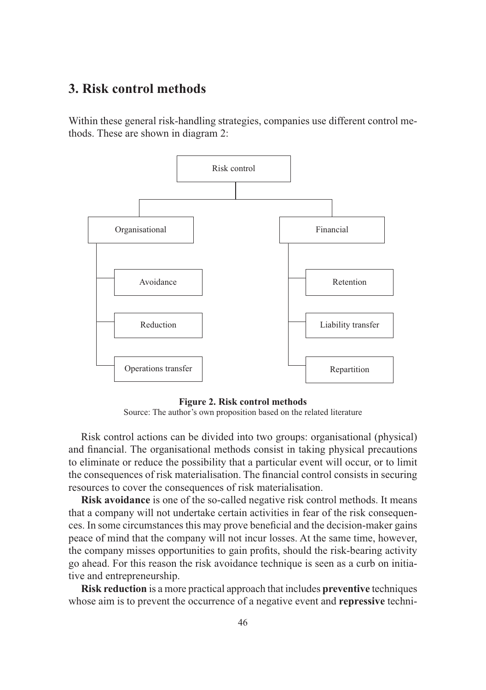#### **3. Risk control methods**

Within these general risk-handling strategies, companies use different control methods. These are shown in diagram 2:



**Figure 2. Risk control methods** Source: The author's own proposition based on the related literature

Risk control actions can be divided into two groups: organisational (physical) and financial. The organisational methods consist in taking physical precautions to eliminate or reduce the possibility that a particular event will occur, or to limit the consequences of risk materialisation. The financial control consists in securing resources to cover the consequences of risk materialisation.

**Risk avoidance** is one of the so-called negative risk control methods. It means that a company will not undertake certain activities in fear of the risk consequences. In some circumstances this may prove beneficial and the decision-maker gains peace of mind that the company will not incur losses. At the same time, however, the company misses opportunities to gain profits, should the risk-bearing activity go ahead. For this reason the risk avoidance technique is seen as a curb on initiative and entrepreneurship.

**Risk reduction** is a more practical approach that includes **preventive** techniques whose aim is to prevent the occurrence of a negative event and **repressive** techni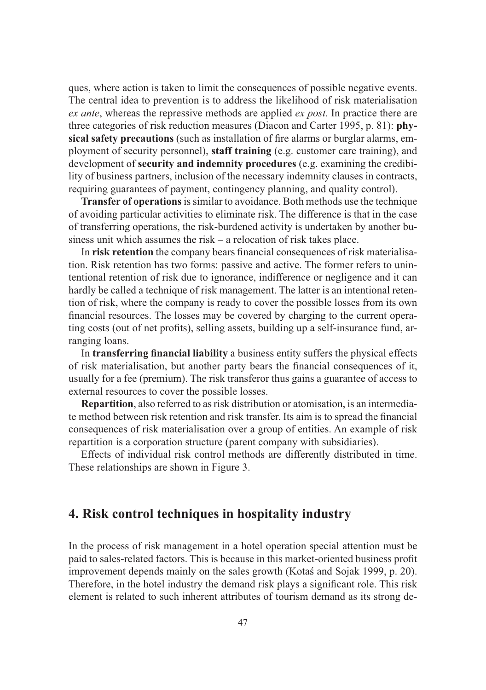ques, where action is taken to limit the consequences of possible negative events. The central idea to prevention is to address the likelihood of risk materialisation *ex ante*, whereas the repressive methods are applied *ex post*. In practice there are three categories of risk reduction measures (Diacon and Carter 1995, p. 81): **physical safety precautions** (such as installation of fire alarms or burglar alarms, employment of security personnel), **staff training** (e.g. customer care training), and development of **security and indemnity procedures** (e.g. examining the credibility of business partners, inclusion of the necessary indemnity clauses in contracts, requiring guarantees of payment, contingency planning, and quality control).

**Transfer of operations** is similar to avoidance. Both methods use the technique of avoiding particular activities to eliminate risk. The difference is that in the case of transferring operations, the risk-burdened activity is undertaken by another business unit which assumes the risk – a relocation of risk takes place.

In **risk retention** the company bears financial consequences of risk materialisation. Risk retention has two forms: passive and active. The former refers to unintentional retention of risk due to ignorance, indifference or negligence and it can hardly be called a technique of risk management. The latter is an intentional retention of risk, where the company is ready to cover the possible losses from its own financial resources. The losses may be covered by charging to the current operating costs (out of net profits), selling assets, building up a self-insurance fund, arranging loans.

In **transferring financial liability** a business entity suffers the physical effects of risk materialisation, but another party bears the financial consequences of it, usually for a fee (premium). The risk transferor thus gains a guarantee of access to external resources to cover the possible losses.

**Repartition**, also referred to as risk distribution or atomisation, is an intermediate method between risk retention and risk transfer. Its aim is to spread the financial consequences of risk materialisation over a group of entities. An example of risk repartition is a corporation structure (parent company with subsidiaries).

Effects of individual risk control methods are differently distributed in time. These relationships are shown in Figure 3.

# **4. Risk control techniques in hospitality industry**

In the process of risk management in a hotel operation special attention must be paid to sales-related factors. This is because in this market-oriented business profit improvement depends mainly on the sales growth (Kotaś and Sojak 1999, p. 20). Therefore, in the hotel industry the demand risk plays a significant role. This risk element is related to such inherent attributes of tourism demand as its strong de-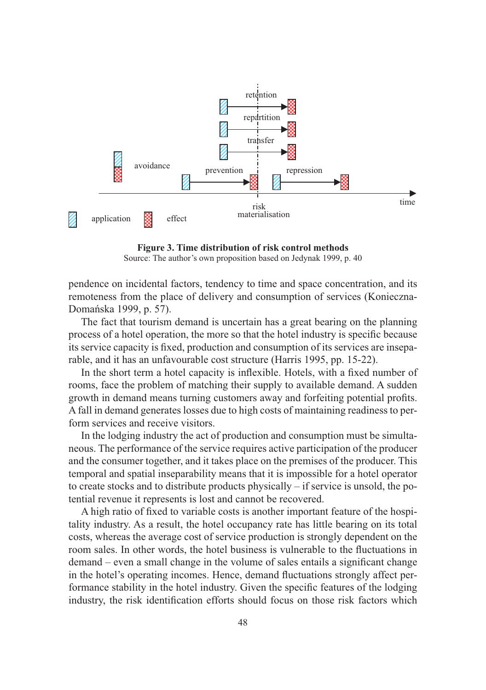

**Figure 3. Time distribution of risk control methods** Source: The author's own proposition based on Jedynak 1999, p. 40

pendence on incidental factors, tendency to time and space concentration, and its remoteness from the place of delivery and consumption of services (Konieczna-Domańska 1999, p. 57).

The fact that tourism demand is uncertain has a great bearing on the planning process of a hotel operation, the more so that the hotel industry is specific because its service capacity is fixed, production and consumption of its services are inseparable, and it has an unfavourable cost structure (Harris 1995, pp. 15-22).

In the short term a hotel capacity is inflexible. Hotels, with a fixed number of rooms, face the problem of matching their supply to available demand. A sudden growth in demand means turning customers away and forfeiting potential profits. A fall in demand generates losses due to high costs of maintaining readiness to perform services and receive visitors.

In the lodging industry the act of production and consumption must be simultaneous. The performance of the service requires active participation of the producer and the consumer together, and it takes place on the premises of the producer. This temporal and spatial inseparability means that it is impossible for a hotel operator to create stocks and to distribute products physically – if service is unsold, the potential revenue it represents is lost and cannot be recovered.

A high ratio of fixed to variable costs is another important feature of the hospitality industry. As a result, the hotel occupancy rate has little bearing on its total costs, whereas the average cost of service production is strongly dependent on the room sales. In other words, the hotel business is vulnerable to the fluctuations in demand – even a small change in the volume of sales entails a significant change in the hotel's operating incomes. Hence, demand fluctuations strongly affect performance stability in the hotel industry. Given the specific features of the lodging industry, the risk identification efforts should focus on those risk factors which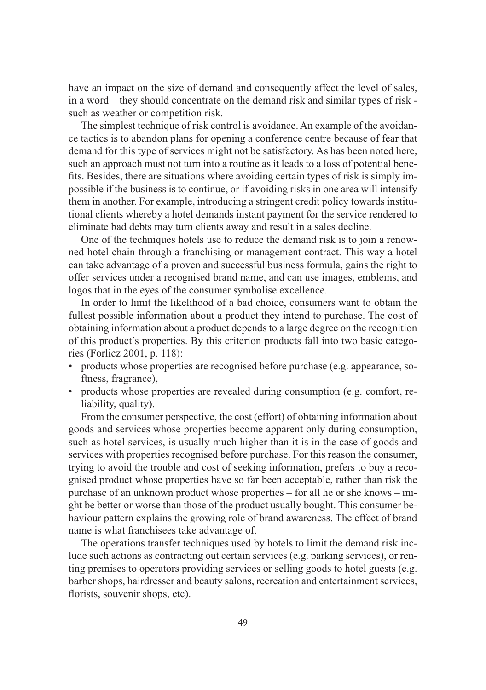have an impact on the size of demand and consequently affect the level of sales, in a word – they should concentrate on the demand risk and similar types of risk such as weather or competition risk.

The simplest technique of risk control is avoidance. An example of the avoidance tactics is to abandon plans for opening a conference centre because of fear that demand for this type of services might not be satisfactory. As has been noted here, such an approach must not turn into a routine as it leads to a loss of potential benefits. Besides, there are situations where avoiding certain types of risk is simply impossible if the business is to continue, or if avoiding risks in one area will intensify them in another. For example, introducing a stringent credit policy towards institutional clients whereby a hotel demands instant payment for the service rendered to eliminate bad debts may turn clients away and result in a sales decline.

One of the techniques hotels use to reduce the demand risk is to join a renowned hotel chain through a franchising or management contract. This way a hotel can take advantage of a proven and successful business formula, gains the right to offer services under a recognised brand name, and can use images, emblems, and logos that in the eyes of the consumer symbolise excellence.

In order to limit the likelihood of a bad choice, consumers want to obtain the fullest possible information about a product they intend to purchase. The cost of obtaining information about a product depends to a large degree on the recognition of this product's properties. By this criterion products fall into two basic categories (Forlicz 2001, p. 118):

- products whose properties are recognised before purchase (e.g. appearance, softness, fragrance),
- products whose properties are revealed during consumption (e.g. comfort, reliability, quality).

From the consumer perspective, the cost (effort) of obtaining information about goods and services whose properties become apparent only during consumption, such as hotel services, is usually much higher than it is in the case of goods and services with properties recognised before purchase. For this reason the consumer, trying to avoid the trouble and cost of seeking information, prefers to buy a recognised product whose properties have so far been acceptable, rather than risk the purchase of an unknown product whose properties – for all he or she knows – might be better or worse than those of the product usually bought. This consumer behaviour pattern explains the growing role of brand awareness. The effect of brand name is what franchisees take advantage of.

The operations transfer techniques used by hotels to limit the demand risk include such actions as contracting out certain services (e.g. parking services), or renting premises to operators providing services or selling goods to hotel guests (e.g. barber shops, hairdresser and beauty salons, recreation and entertainment services, florists, souvenir shops, etc).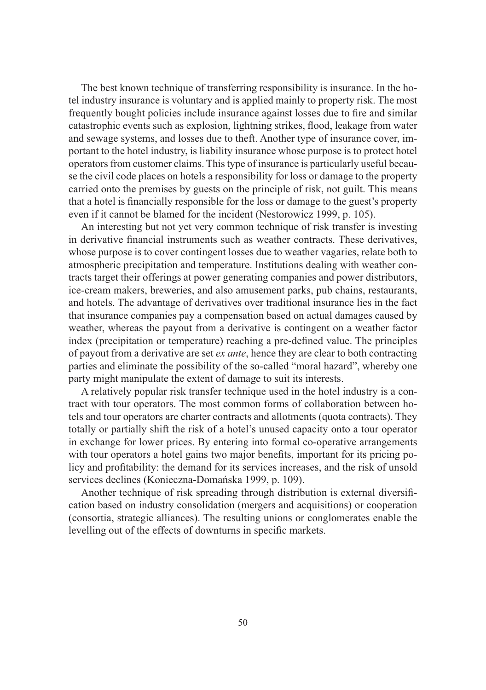The best known technique of transferring responsibility is insurance. In the hotel industry insurance is voluntary and is applied mainly to property risk. The most frequently bought policies include insurance against losses due to fire and similar catastrophic events such as explosion, lightning strikes, flood, leakage from water and sewage systems, and losses due to theft. Another type of insurance cover, important to the hotel industry, is liability insurance whose purpose is to protect hotel operators from customer claims. This type of insurance is particularly useful because the civil code places on hotels a responsibility for loss or damage to the property carried onto the premises by guests on the principle of risk, not guilt. This means that a hotel is financially responsible for the loss or damage to the guest's property even if it cannot be blamed for the incident (Nestorowicz 1999, p. 105).

An interesting but not yet very common technique of risk transfer is investing in derivative financial instruments such as weather contracts. These derivatives, whose purpose is to cover contingent losses due to weather vagaries, relate both to atmospheric precipitation and temperature. Institutions dealing with weather contracts target their offerings at power generating companies and power distributors, ice-cream makers, breweries, and also amusement parks, pub chains, restaurants, and hotels. The advantage of derivatives over traditional insurance lies in the fact that insurance companies pay a compensation based on actual damages caused by weather, whereas the payout from a derivative is contingent on a weather factor index (precipitation or temperature) reaching a pre-defined value. The principles of payout from a derivative are set *ex ante*, hence they are clear to both contracting parties and eliminate the possibility of the so-called "moral hazard", whereby one party might manipulate the extent of damage to suit its interests.

A relatively popular risk transfer technique used in the hotel industry is a contract with tour operators. The most common forms of collaboration between hotels and tour operators are charter contracts and allotments (quota contracts). They totally or partially shift the risk of a hotel's unused capacity onto a tour operator in exchange for lower prices. By entering into formal co-operative arrangements with tour operators a hotel gains two major benefits, important for its pricing policy and profitability: the demand for its services increases, and the risk of unsold services declines (Konieczna-Domańska 1999, p. 109).

Another technique of risk spreading through distribution is external diversification based on industry consolidation (mergers and acquisitions) or cooperation (consortia, strategic alliances). The resulting unions or conglomerates enable the levelling out of the effects of downturns in specific markets.